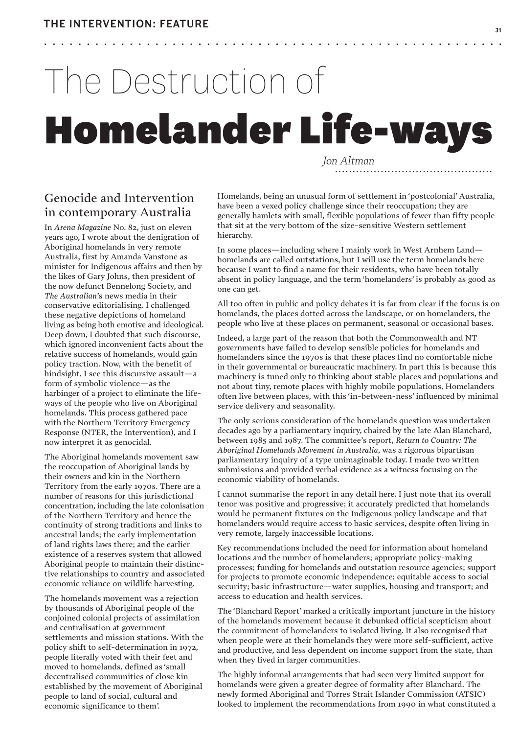•

# The Destruction of **Homelander Life-ways**

•

•••••

*Jon Altman .............................................*

•

## Genocide and Intervention in contemporary Australia

In *Arena Magazine* No. 82, just on eleven years ago, I wrote about the denigration of Aboriginal homelands in very remote Australia, first by Amanda Vanstone as minister for Indigenous affairs and then by the likes of Gary Johns, then president of the now defunct Bennelong Society, and *The Australian*'s news media in their conservative editorialising. I challenged these negative depictions of homeland living as being both emotive and ideological. Deep down, I doubted that such discourse, which ignored inconvenient facts about the relative success of homelands, would gain policy traction. Now, with the benefit of hindsight, I see this discursive assault—a form of symbolic violence—as the harbinger of a project to eliminate the lifeways of the people who live on Aboriginal homelands. This process gathered pace with the Northern Territory Emergency Response (NTER, the Intervention), and I now interpret it as genocidal.

The Aboriginal homelands movement saw the reoccupation of Aboriginal lands by their owners and kin in the Northern Territory from the early 1970s. There are a number of reasons for this jurisdictional concentration, including the late colonisation of the Northern Territory and hence the continuity of strong traditions and links to ancestral lands; the early implementation of land rights laws there; and the earlier existence of a reserves system that allowed Aboriginal people to maintain their distinctive relationships to country and associated economic reliance on wildlife harvesting.

The homelands movement was a rejection by thousands of Aboriginal people of the conjoined colonial projects of assimilation and centralisation at government settlements and mission stations. With the policy shift to self-determination in 1972, people literally voted with their feet and moved to homelands, defined as 'small decentralised communities of close kin established by the movement of Aboriginal people to land of social, cultural and economic significance to them'.

Homelands, being an unusual form of settlement in 'postcolonial' Australia, have been a vexed policy challenge since their reoccupation; they are generally hamlets with small, flexible populations of fewer than fifty people that sit at the very bottom of the size-sensitive Western settlement hierarchy.

In some places—including where I mainly work in West Arnhem Land homelands are called outstations, but I will use the term homelands here because I want to find a name for their residents, who have been totally absent in policy language, and the term 'homelanders' is probably as good as one can get.

All too often in public and policy debates it is far from clear if the focus is on homelands, the places dotted across the landscape, or on homelanders, the people who live at these places on permanent, seasonal or occasional bases.

Indeed, a large part of the reason that both the Commonwealth and NT governments have failed to develop sensible policies for homelands and homelanders since the 1970s is that these places find no comfortable niche in their governmental or bureaucratic machinery. In part this is because this machinery is tuned only to thinking about stable places and populations and not about tiny, remote places with highly mobile populations. Homelanders often live between places, with this 'in-between-ness' influenced by minimal service delivery and seasonality.

The only serious consideration of the homelands question was undertaken decades ago by a parliamentary inquiry, chaired by the late Alan Blanchard, between 1985 and 1987. The committee's report, *Return to Country: The Aboriginal Homelands Movement in Australia*, was a rigorous bipartisan parliamentary inquiry of a type unimaginable today. I made two written submissions and provided verbal evidence as a witness focusing on the economic viability of homelands.

I cannot summarise the report in any detail here. I just note that its overall tenor was positive and progressive; it accurately predicted that homelands would be permanent fixtures on the Indigenous policy landscape and that homelanders would require access to basic services, despite often living in very remote, largely inaccessible locations.

Key recommendations included the need for information about homeland locations and the number of homelanders; appropriate policy-making processes; funding for homelands and outstation resource agencies; support for projects to promote economic independence; equitable access to social security; basic infrastructure—water supplies, housing and transport; and access to education and health services.

The 'Blanchard Report' marked a critically important juncture in the history of the homelands movement because it debunked official scepticism about the commitment of homelanders to isolated living. It also recognised that when people were at their homelands they were more self-sufficient, active and productive, and less dependent on income support from the state, than when they lived in larger communities.

The highly informal arrangements that had seen very limited support for homelands were given a greater degree of formality after Blanchard. The newly formed Aboriginal and Torres Strait Islander Commission (ATSIC) looked to implement the recommendations from 1990 in what constituted a

••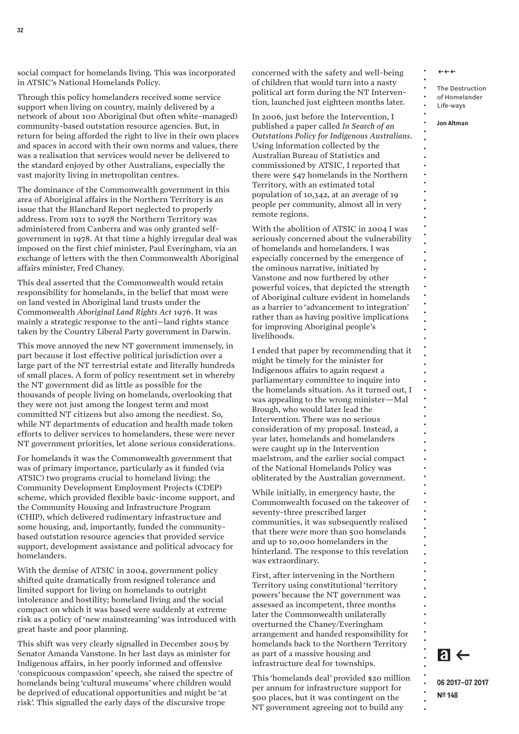social compact for homelands living. This was incorporated in ATSIC's National Homelands Policy.

Through this policy homelanders received some service support when living on country, mainly delivered by a network of about 100 Aboriginal (but often white-managed) community-based outstation resource agencies. But, in return for being afforded the right to live in their own places and spaces in accord with their own norms and values, there was a realisation that services would never be delivered to the standard enjoyed by other Australians, especially the vast majority living in metropolitan centres.

The dominance of the Commonwealth government in this area of Aboriginal affairs in the Northern Territory is an issue that the Blanchard Report neglected to properly address. From 1911 to 1978 the Northern Territory was administered from Canberra and was only granted selfgovernment in 1978. At that time a highly irregular deal was imposed on the first chief minister, Paul Everingham, via an exchange of letters with the then Commonwealth Aboriginal affairs minister, Fred Chaney.

This deal asserted that the Commonwealth would retain responsibility for homelands, in the belief that most were on land vested in Aboriginal land trusts under the Commonwealth *Aboriginal Land Rights Act* 1976. It was mainly a strategic response to the anti–land rights stance taken by the Country Liberal Party government in Darwin.

This move annoyed the new NT government immensely, in part because it lost effective political jurisdiction over a large part of the NT terrestrial estate and literally hundreds of small places. A form of policy resentment set in whereby the NT government did as little as possible for the thousands of people living on homelands, overlooking that they were not just among the longest term and most committed NT citizens but also among the neediest. So, while NT departments of education and health made token efforts to deliver services to homelanders, these were never NT government priorities, let alone serious considerations.

For homelands it was the Commonwealth government that was of primary importance, particularly as it funded (via ATSIC) two programs crucial to homeland living: the Community Development Employment Projects (CDEP) scheme, which provided flexible basic-income support, and the Community Housing and Infrastructure Program (CHIP), which delivered rudimentary infrastructure and some housing, and, importantly, funded the communitybased outstation resource agencies that provided service support, development assistance and political advocacy for homelanders.

With the demise of ATSIC in 2004, government policy shifted quite dramatically from resigned tolerance and limited support for living on homelands to outright intolerance and hostility; homeland living and the social compact on which it was based were suddenly at extreme risk as a policy of'new mainstreaming' was introduced with great haste and poor planning.

This shift was very clearly signalled in December 2005 by Senator Amanda Vanstone. In her last days as minister for Indigenous affairs, in her poorly informed and offensive 'conspicuous compassion' speech, she raised the spectre of homelands being 'cultural museums' where children would be deprived of educational opportunities and might be 'at risk'. This signalled the early days of the discursive trope

concerned with the safety and well-being of children that would turn into a nasty political art form during the NT Intervention, launched just eighteen months later.

In 2006, just before the Intervention, I published a paper called *In Search of an Outstations Policy for Indigenous Australians*. Using information collected by the Australian Bureau of Statistics and commissioned by ATSIC, I reported that there were 547 homelands in the Northern Territory, with an estimated total population of 10,342, at an average of 19 people per community, almost all in very remote regions.

With the abolition of ATSIC in 2004 I was seriously concerned about the vulnerability of homelands and homelanders. I was especially concerned by the emergence of the ominous narrative, initiated by Vanstone and now furthered by other powerful voices, that depicted the strength of Aboriginal culture evident in homelands as a barrier to 'advancement to integration' rather than as having positive implications for improving Aboriginal people's livelihoods.

I ended that paper by recommending that it might be timely for the minister for Indigenous affairs to again request a parliamentary committee to inquire into the homelands situation. As it turned out, I was appealing to the wrong minister—Mal Brough, who would later lead the Intervention. There was no serious consideration of my proposal. Instead, a year later, homelands and homelanders were caught up in the Intervention maelstrom, and the earlier social compact of the National Homelands Policy was obliterated by the Australian government.

While initially, in emergency haste, the Commonwealth focused on the takeover of seventy-three prescribed larger communities, it was subsequently realised that there were more than 500 homelands and up to 10,000 homelanders in the hinterland. The response to this revelation was extraordinary.

First, after intervening in the Northern Territory using constitutional 'territory powers' because the NT government was assessed as incompetent, three months later the Commonwealth unilaterally overturned the Chaney/Everingham arrangement and handed responsibility for homelands back to the Northern Territory as part of a massive housing and infrastructure deal for townships.

This 'homelands deal' provided \$20 million per annum for infrastructure support for 500 places, but it was contingent on the NT government agreeing not to build any

 $\leftrightarrow \leftrightarrow$ 

• • • • • • • • • • • • • • • • • • • • • • • • • • • • • • • • • • • • • • • • • • • • • • • • • • • • • • • • • • • • • • • • • • • • • • • • • • •

The Destruction of Homelander

Life-ways

**Jon Altman**

 $a \leftarrow$ 

**06 2017–07 2017 Nº 148**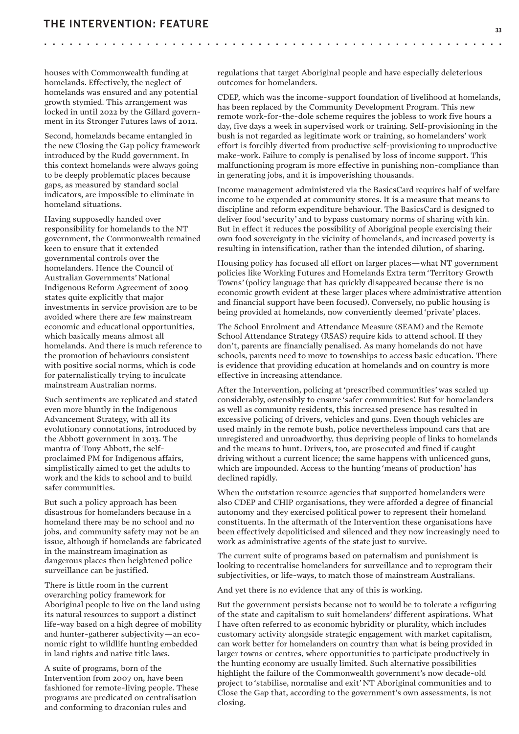•

houses with Commonwealth funding at homelands. Effectively, the neglect of homelands was ensured and any potential growth stymied. This arrangement was locked in until 2022 by the Gillard government in its Stronger Futures laws of 2012.

Second, homelands became entangled in the new Closing the Gap policy framework introduced by the Rudd government. In this context homelands were always going to be deeply problematic places because gaps, as measured by standard social indicators, are impossible to eliminate in homeland situations.

Having supposedly handed over responsibility for homelands to the NT government, the Commonwealth remained keen to ensure that it extended governmental controls over the homelanders. Hence the Council of Australian Governments' National Indigenous Reform Agreement of 2009 states quite explicitly that major investments in service provision are to be avoided where there are few mainstream economic and educational opportunities, which basically means almost all homelands. And there is much reference to the promotion of behaviours consistent with positive social norms, which is code for paternalistically trying to inculcate mainstream Australian norms.

Such sentiments are replicated and stated even more bluntly in the Indigenous Advancement Strategy, with all its evolutionary connotations, introduced by the Abbott government in 2013. The mantra of Tony Abbott, the selfproclaimed PM for Indigenous affairs, simplistically aimed to get the adults to work and the kids to school and to build safer communities.

But such a policy approach has been disastrous for homelanders because in a homeland there may be no school and no jobs, and community safety may not be an issue, although if homelands are fabricated in the mainstream imagination as dangerous places then heightened police surveillance can be justified.

There is little room in the current overarching policy framework for Aboriginal people to live on the land using its natural resources to support a distinct life-way based on a high degree of mobility and hunter-gatherer subjectivity—an economic right to wildlife hunting embedded in land rights and native title laws.

A suite of programs, born of the Intervention from 2007 on, have been fashioned for remote-living people. These programs are predicated on centralisation and conforming to draconian rules and

regulations that target Aboriginal people and have especially deleterious outcomes for homelanders.

•

•

•

CDEP, which was the income-support foundation of livelihood at homelands, has been replaced by the Community Development Program. This new remote work-for-the-dole scheme requires the jobless to work five hours a day, five days a week in supervised work or training. Self-provisioning in the bush is not regarded as legitimate work or training, so homelanders' work effort is forcibly diverted from productive self-provisioning to unproductive make-work. Failure to comply is penalised by loss of income support. This malfunctioning program is more effective in punishing non-compliance than in generating jobs, and it is impoverishing thousands.

Income management administered via the BasicsCard requires half of welfare income to be expended at community stores. It is a measure that means to discipline and reform expenditure behaviour. The BasicsCard is designed to deliver food 'security' and to bypass customary norms of sharing with kin. But in effect it reduces the possibility of Aboriginal people exercising their own food sovereignty in the vicinity of homelands, and increased poverty is resulting in intensification, rather than the intended dilution, of sharing.

Housing policy has focused all effort on larger places—what NT government policies like Working Futures and Homelands Extra term 'Territory Growth Towns'(policy language that has quickly disappeared because there is no economic growth evident at these larger places where administrative attention and financial support have been focused). Conversely, no public housing is being provided at homelands, now conveniently deemed 'private' places.

The School Enrolment and Attendance Measure (SEAM) and the Remote School Attendance Strategy (RSAS) require kids to attend school. If they don't, parents are financially penalised. As many homelands do not have schools, parents need to move to townships to access basic education. There is evidence that providing education at homelands and on country is more effective in increasing attendance.

After the Intervention, policing at 'prescribed communities' was scaled up considerably, ostensibly to ensure 'safer communities'. But for homelanders as well as community residents, this increased presence has resulted in excessive policing of drivers, vehicles and guns. Even though vehicles are used mainly in the remote bush, police nevertheless impound cars that are unregistered and unroadworthy, thus depriving people of links to homelands and the means to hunt. Drivers, too, are prosecuted and fined if caught driving without a current licence; the same happens with unlicenced guns, which are impounded. Access to the hunting 'means of production' has declined rapidly.

When the outstation resource agencies that supported homelanders were also CDEP and CHIP organisations, they were afforded a degree of financial autonomy and they exercised political power to represent their homeland constituents. In the aftermath of the Intervention these organisations have been effectively depoliticised and silenced and they now increasingly need to work as administrative agents of the state just to survive.

The current suite of programs based on paternalism and punishment is looking to recentralise homelanders for surveillance and to reprogram their subjectivities, or life-ways, to match those of mainstream Australians.

And yet there is no evidence that any of this is working.

But the government persists because not to would be to tolerate a refiguring of the state and capitalism to suit homelanders' different aspirations. What I have often referred to as economic hybridity or plurality, which includes customary activity alongside strategic engagement with market capitalism, can work better for homelanders on country than what is being provided in larger towns or centres, where opportunities to participate productively in the hunting economy are usually limited. Such alternative possibilities highlight the failure of the Commonwealth government's now decade-old project to 'stabilise, normalise and exit' NT Aboriginal communities and to Close the Gap that, according to the government's own assessments, is not closing.

••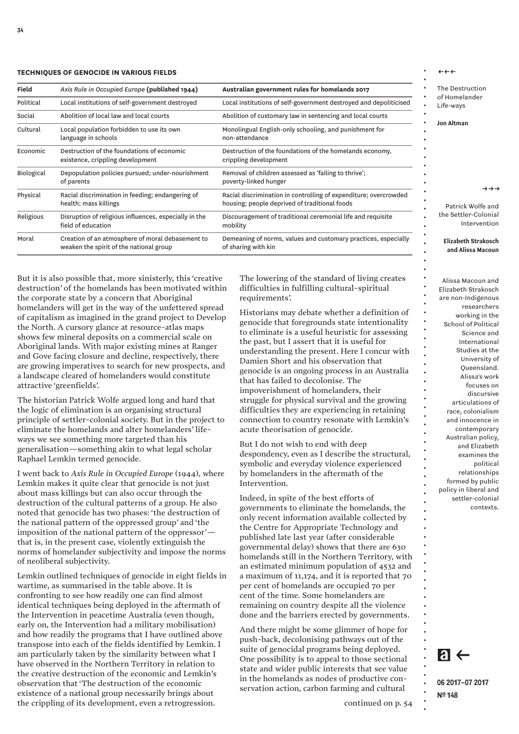#### **TECHNIQUES OF GENOCIDE IN VARIOUS FIELDS**

| <b>Field</b> | Axis Rule in Occupied Europe (published 1944)                                               | Australian government rules for homelands 2017                                                                    |
|--------------|---------------------------------------------------------------------------------------------|-------------------------------------------------------------------------------------------------------------------|
| Political    | Local institutions of self-government destroyed                                             | Local institutions of self-government destroyed and depoliticised                                                 |
| Social       | Abolition of local law and local courts                                                     | Abolition of customary law in sentencing and local courts                                                         |
| Cultural     | Local population forbidden to use its own<br>language in schools                            | Monolingual English-only schooling, and punishment for<br>non-attendance                                          |
| Economic     | Destruction of the foundations of economic<br>existence, crippling development              | Destruction of the foundations of the homelands economy,<br>crippling development                                 |
| Biological   | Depopulation policies pursued; under-nourishment<br>of parents                              | Removal of children assessed as 'failing to thrive';<br>poverty-linked hunger                                     |
| Physical     | Racial discrimination in feeding; endangering of<br>health; mass killings                   | Racial discrimination in controlling of expenditure; overcrowded<br>housing; people deprived of traditional foods |
| Religious    | Disruption of religious influences, especially in the<br>field of education                 | Discouragement of traditional ceremonial life and requisite<br>mobility                                           |
| Moral        | Creation of an atmosphere of moral debasement to<br>weaken the spirit of the national group | Demeaning of norms, values and customary practices, especially<br>of sharing with kin                             |

But it is also possible that, more sinisterly, this 'creative destruction' of the homelands has been motivated within the corporate state by a concern that Aboriginal homelanders will get in the way of the unfettered spread of capitalism as imagined in the grand project to Develop the North. A cursory glance at resource-atlas maps shows few mineral deposits on a commercial scale on Aboriginal lands. With major existing mines at Ranger and Gove facing closure and decline, respectively, there are growing imperatives to search for new prospects, and a landscape cleared of homelanders would constitute attractive 'greenfields'.

The historian Patrick Wolfe argued long and hard that the logic of elimination is an organising structural principle of settler-colonial society. But in the project to eliminate the homelands and alter homelanders' lifeways we see something more targeted than his generalisation—something akin to what legal scholar Raphael Lemkin termed genocide.

I went back to *Axis Rule in Occupied Europe* (1944), where Lemkin makes it quite clear that genocide is not just about mass killings but can also occur through the destruction of the cultural patterns of a group. He also noted that genocide has two phases: 'the destruction of the national pattern of the oppressed group' and 'the imposition of the national pattern of the oppressor' that is, in the present case, violently extinguish the norms of homelander subjectivity and impose the norms of neoliberal subjectivity.

Lemkin outlined techniques of genocide in eight fields in wartime, as summarised in the table above. It is confronting to see how readily one can find almost identical techniques being deployed in the aftermath of the Intervention in peacetime Australia (even though, early on, the Intervention had a military mobilisation) and how readily the programs that I have outlined above transpose into each of the fields identified by Lemkin. I am particularly taken by the similarity between what I have observed in the Northern Territory in relation to the creative destruction of the economic and Lemkin's observation that 'The destruction of the economic existence of a national group necessarily brings about the crippling of its development, even a retrogression.

The lowering of the standard of living creates difficulties in fulfilling cultural-spiritual requirements'.

Historians may debate whether a definition of genocide that foregrounds state intentionality to eliminate is a useful heuristic for assessing the past, but I assert that it is useful for understanding the present. Here I concur with Damien Short and his observation that genocide is an ongoing process in an Australia that has failed to decolonise. The impoverishment of homelanders, their struggle for physical survival and the growing difficulties they are experiencing in retaining connection to country resonate with Lemkin's acute theorisation of genocide.

But I do not wish to end with deep despondency, even as I describe the structural, symbolic and everyday violence experienced by homelanders in the aftermath of the Intervention.

Indeed, in spite of the best efforts of governments to eliminate the homelands, the only recent information available collected by the Centre for Appropriate Technology and published late last year (after considerable governmental delay) shows that there are 630 homelands still in the Northern Territory, with an estimated minimum population of 4532 and a maximum of 11,174, and it is reported that 70 per cent of homelands are occupied 70 per cent of the time. Some homelanders are remaining on country despite all the violence done and the barriers erected by governments.

And there might be some glimmer of hope for push-back, decolonising pathways out of the suite of genocidal programs being deployed. One possibility is to appeal to those sectional state and wider public interests that see value in the homelands as nodes of productive conservation action, carbon farming and cultural

The Destruction of Homelander Life-ways

**Jon Altman**

 $\leftrightarrow\leftrightarrow$ 

• • • • • • • • • • • • • • • • • • • • • • • • • • • • • • • • • • • • • • • • • • • • • • • • • • • • • • • • • • • • • • • • • • • • • • • • • • •

 $\rightarrow \rightarrow \rightarrow$ 

Patrick Wolfe and the Settler-Colonial Intervention

#### **Elizabeth Strakosch and Alissa Macoun**

Alissa Macoun and Elizabeth Strakosch are non-Indigenous researchers working in the School of Political Science and International Studies at the University of Queensland. Alissa's work focuses on discursive articulations of race, colonialism and innocence in contemporary Australian policy, and Elizabeth examines the political relationships formed by public policy in liberal and settler-colonial contexts.

**06 2017–07 2017**

**Nº 148**

 $a \leftarrow$